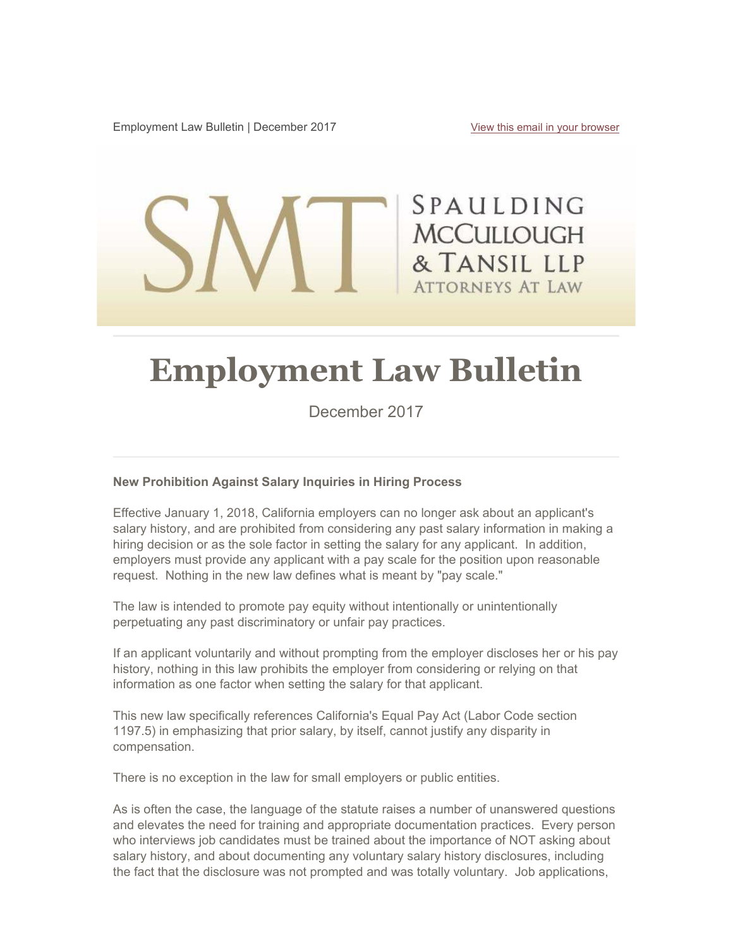Employment Law Bulletin | December 2017 View this email in your browser

SPAULDING **MCCULLOUGH** & TANSIL LLP **ATTORNEYS AT LAW** 

# **Employment Law Bulletin**

December 2017

#### **New Prohibition Against Salary Inquiries in Hiring Process**

Effective January 1, 2018, California employers can no longer ask about an applicant's salary history, and are prohibited from considering any past salary information in making a hiring decision or as the sole factor in setting the salary for any applicant. In addition, employers must provide any applicant with a pay scale for the position upon reasonable request. Nothing in the new law defines what is meant by "pay scale."

The law is intended to promote pay equity without intentionally or unintentionally perpetuating any past discriminatory or unfair pay practices.

If an applicant voluntarily and without prompting from the employer discloses her or his pay history, nothing in this law prohibits the employer from considering or relying on that information as one factor when setting the salary for that applicant.

This new law specifically references California's Equal Pay Act (Labor Code section 1197.5) in emphasizing that prior salary, by itself, cannot justify any disparity in compensation.

There is no exception in the law for small employers or public entities.

As is often the case, the language of the statute raises a number of unanswered questions and elevates the need for training and appropriate documentation practices. Every person who interviews job candidates must be trained about the importance of NOT asking about salary history, and about documenting any voluntary salary history disclosures, including the fact that the disclosure was not prompted and was totally voluntary. Job applications,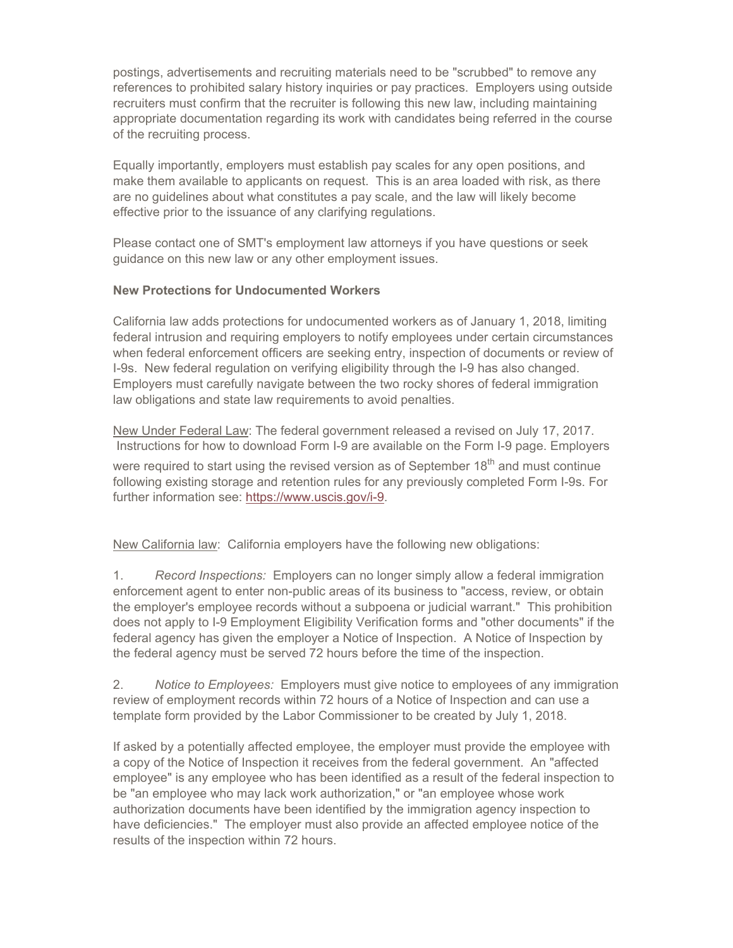postings, advertisements and recruiting materials need to be "scrubbed" to remove any references to prohibited salary history inquiries or pay practices. Employers using outside recruiters must confirm that the recruiter is following this new law, including maintaining appropriate documentation regarding its work with candidates being referred in the course of the recruiting process.

Equally importantly, employers must establish pay scales for any open positions, and make them available to applicants on request. This is an area loaded with risk, as there are no guidelines about what constitutes a pay scale, and the law will likely become effective prior to the issuance of any clarifying regulations.

Please contact one of SMT's employment law attorneys if you have questions or seek guidance on this new law or any other employment issues.

### **New Protections for Undocumented Workers**

California law adds protections for undocumented workers as of January 1, 2018, limiting federal intrusion and requiring employers to notify employees under certain circumstances when federal enforcement officers are seeking entry, inspection of documents or review of I-9s. New federal regulation on verifying eligibility through the I-9 has also changed. Employers must carefully navigate between the two rocky shores of federal immigration law obligations and state law requirements to avoid penalties.

New Under Federal Law: The federal government released a revised on July 17, 2017. Instructions for how to download Form I-9 are available on the Form I-9 page. Employers

were required to start using the revised version as of September  $18<sup>th</sup>$  and must continue following existing storage and retention rules for any previously completed Form I-9s. For further information see: https://www.uscis.gov/i-9.

New California law: California employers have the following new obligations:

1. *Record Inspections:* Employers can no longer simply allow a federal immigration enforcement agent to enter non-public areas of its business to "access, review, or obtain the employer's employee records without a subpoena or judicial warrant." This prohibition does not apply to I-9 Employment Eligibility Verification forms and "other documents" if the federal agency has given the employer a Notice of Inspection. A Notice of Inspection by the federal agency must be served 72 hours before the time of the inspection.

2. *Notice to Employees:* Employers must give notice to employees of any immigration review of employment records within 72 hours of a Notice of Inspection and can use a template form provided by the Labor Commissioner to be created by July 1, 2018.

If asked by a potentially affected employee, the employer must provide the employee with a copy of the Notice of Inspection it receives from the federal government. An "affected employee" is any employee who has been identified as a result of the federal inspection to be "an employee who may lack work authorization," or "an employee whose work authorization documents have been identified by the immigration agency inspection to have deficiencies." The employer must also provide an affected employee notice of the results of the inspection within 72 hours.